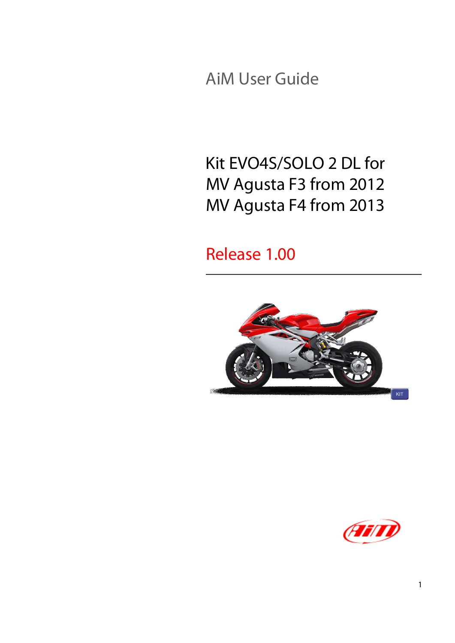AiM User Guide

# Kit EVO4S/SOLO 2 DL for MV Agusta F3 from 2012 MV Agusta F4 from 2013

Release 1.00



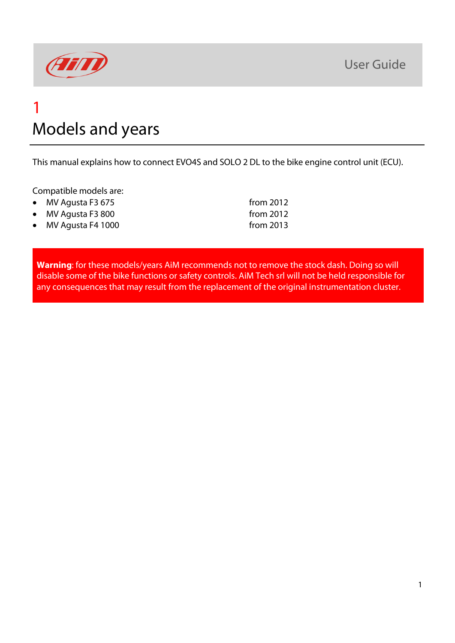

### 1 Models and years

This manual explains how to connect EVO4S and SOLO 2 DL to the bike engine control unit (ECU).

Compatible models are:

| $\bullet$ MV Agusta F3 675 | from $2012$ |
|----------------------------|-------------|
| • MV Agusta F3 800         | from $2012$ |
| • MV Agusta F4 1000        | from $2013$ |

**Warning**: for these models/years AiM recommends not to remove the stock dash. Doing so will disable some of the bike functions or safety controls. AiM Tech srl will not be held responsible for any consequences that may result from the replacement of the original instrumentation cluster.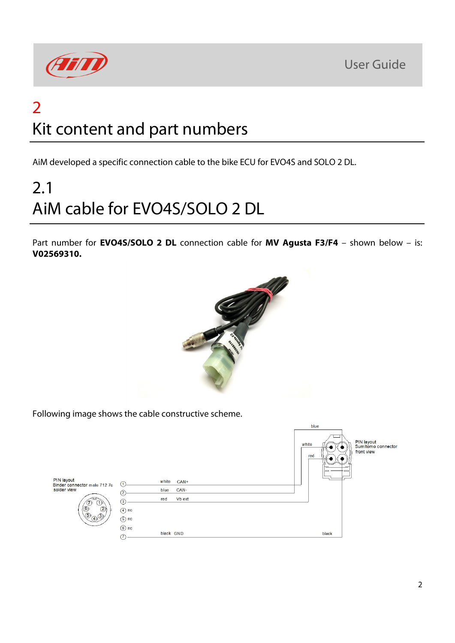



# 2 Kit content and part numbers

AiM developed a specific connection cable to the bike ECU for EVO4S and SOLO 2 DL.

# 2.1 AiM cable for EVO4S/SOLO 2 DL

Part number for **EVO4S/SOLO 2 DL** connection cable for **MV Agusta F3/F4** – shown below – is: **V02569310.**



Following image shows the cable constructive scheme.

|                                                                                                                                              |                                                                                  |                                                                           | blue                                                                    |
|----------------------------------------------------------------------------------------------------------------------------------------------|----------------------------------------------------------------------------------|---------------------------------------------------------------------------|-------------------------------------------------------------------------|
| PIN layout<br>Binder connector male 712 7c<br>solder view<br>7)<br>$\bigcap$<br>$\circledcirc$<br>$\circled{2}$<br>(5)<br>$\sqrt{(4)}^{(3)}$ | $^{\circ}$<br>$\circled{3}$<br>$\circled{4}$ nc<br>$(5)$ nc<br>$\circledcirc$ nc | white<br>$CAN+$<br>CAN-<br>blue<br>V <sub>b</sub> ext<br>red<br>black GND | PIN layout<br>Sumitomo connector<br>white<br>front view<br>red<br>black |
|                                                                                                                                              | C                                                                                |                                                                           |                                                                         |
|                                                                                                                                              |                                                                                  |                                                                           |                                                                         |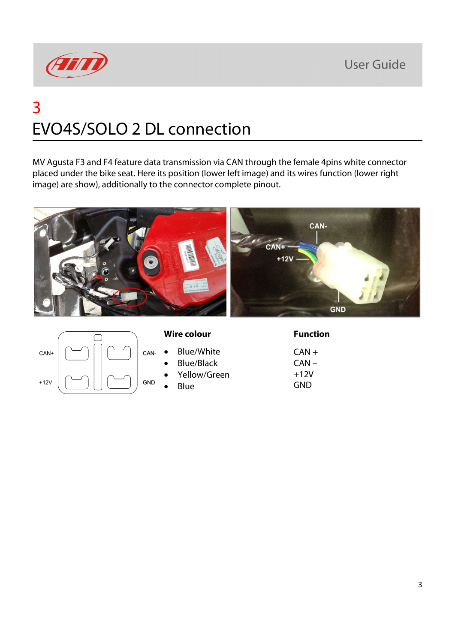**User Guide** 



# 3 EVO4S/SOLO 2 DL connection

MV Agusta F3 and F4 feature data transmission via CAN through the female 4pins white connector placed under the bike seat. Here its position (lower left image) and its wires function (lower right image) are show), additionally to the connector complete pinout.



| CAN+   |  | CAN-       |
|--------|--|------------|
| $+12V$ |  | <b>GND</b> |

#### **Wire colour Function**

- Blue/White
- Blue/Black
- Yellow/Green
- Blue

 $CAN +$ CAN –  $+12V$ GND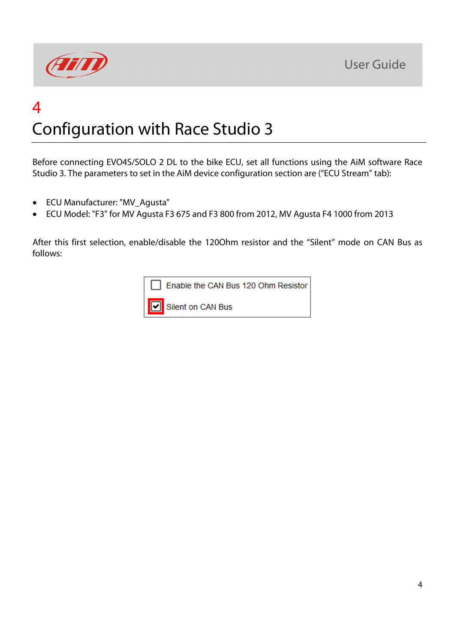

# 4 Configuration with Race Studio 3

Before connecting EVO4S/SOLO 2 DL to the bike ECU, set all functions using the AiM software Race Studio 3. The parameters to set in the AiM device configuration section are ("ECU Stream" tab):

- ECU Manufacturer: "MV\_Agusta"
- ECU Model: "F3" for MV Agusta F3 675 and F3 800 from 2012, MV Agusta F4 1000 from 2013

After this first selection, enable/disable the 120Ohm resistor and the "Silent" mode on CAN Bus as follows: